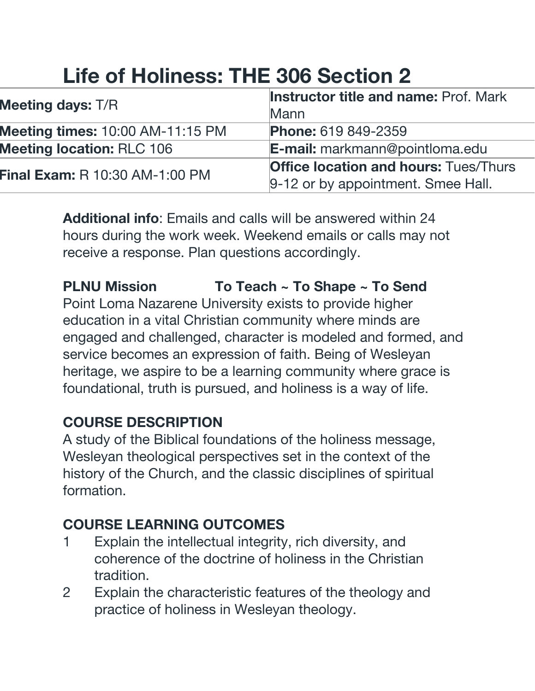# **Life of Holiness: THE 306 Section 2**

| <b>Meeting days: T/R</b>                | <b>Instructor title and name: Prof. Mark</b> |
|-----------------------------------------|----------------------------------------------|
|                                         | Mann                                         |
| <b>Meeting times: 10:00 AM-11:15 PM</b> | <b>Phone: 619 849-2359</b>                   |
| <b>Meeting location: RLC 106</b>        | <b>E-mail:</b> markmann@pointloma.edu        |
| <b>Final Exam: R 10:30 AM-1:00 PM</b>   | <b>Office location and hours: Tues/Thurs</b> |
|                                         | 9-12 or by appointment. Smee Hall.           |

**Additional info**: Emails and calls will be answered within 24 hours during the work week. Weekend emails or calls may not receive a response. Plan questions accordingly.

**PLNU Mission To Teach ~ To Shape ~ To Send** Point Loma Nazarene University exists to provide higher education in a vital Christian community where minds are engaged and challenged, character is modeled and formed, and service becomes an expression of faith. Being of Wesleyan heritage, we aspire to be a learning community where grace is foundational, truth is pursued, and holiness is a way of life.

#### **COURSE DESCRIPTION**

A study of the Biblical foundations of the holiness message, Wesleyan theological perspectives set in the context of the history of the Church, and the classic disciplines of spiritual formation.

### **COURSE LEARNING OUTCOMES**

- 1 Explain the intellectual integrity, rich diversity, and coherence of the doctrine of holiness in the Christian tradition.
- 2 Explain the characteristic features of the theology and practice of holiness in Wesleyan theology.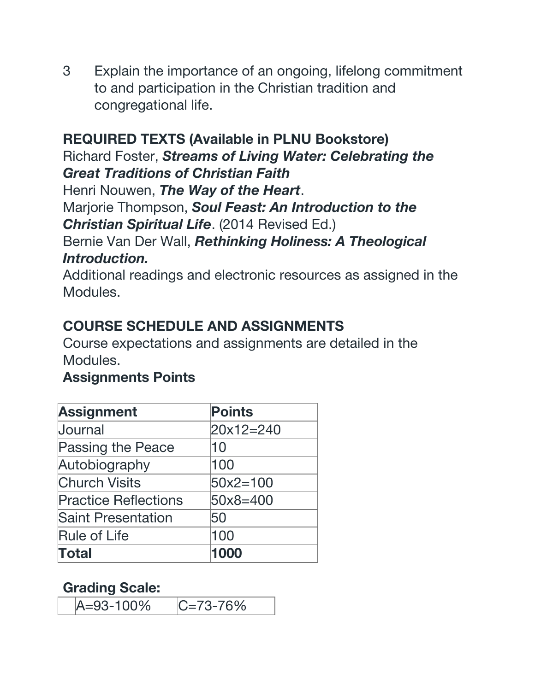3 Explain the importance of an ongoing, lifelong commitment to and participation in the Christian tradition and congregational life.

#### **REQUIRED TEXTS (Available in PLNU Bookstore)**

Richard Foster, *Streams of Living Water: Celebrating the Great Traditions of Christian Faith*

Henri Nouwen, *The Way of the Heart*.

Marjorie Thompson, *Soul Feast: An Introduction to the Christian Spiritual Life*. (2014 Revised Ed.)

#### Bernie Van Der Wall, *Rethinking Holiness: A Theological Introduction.*

Additional readings and electronic resources as assigned in the Modules.

#### **COURSE SCHEDULE AND ASSIGNMENTS**

Course expectations and assignments are detailed in the Modules.

#### **Assignments Points**

| <b>Assignment</b>           | <b>Points</b> |
|-----------------------------|---------------|
| Journal                     | $20x12=240$   |
| Passing the Peace           | 10            |
| Autobiography               | 100           |
| <b>Church Visits</b>        | $50x2 = 100$  |
| <b>Practice Reflections</b> | 50x8=400      |
| <b>Saint Presentation</b>   | 50            |
| <b>Rule of Life</b>         | 100           |
| <b>Total</b>                |               |

#### **Grading Scale:**

A=93-100% C=73-76%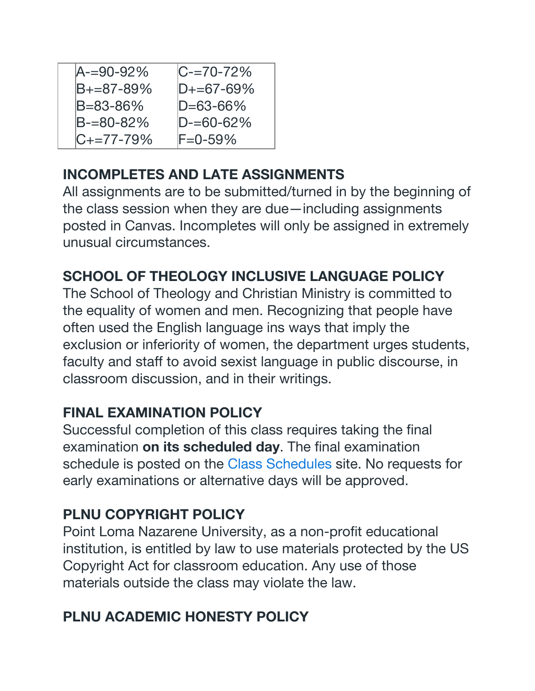| $A = 90 - 92%$  | $C = 70 - 72\%$ |
|-----------------|-----------------|
| $B+=87-89%$     | $D+=67-69%$     |
| B=83-86%        | $D = 63 - 66%$  |
| $B = 80 - 82%$  | $D = 60 - 62%$  |
| $C_{+}=77-79\%$ | $F = 0 - 59\%$  |

### **INCOMPLETES AND LATE ASSIGNMENTS**

All assignments are to be submitted/turned in by the beginning of the class session when they are due—including assignments posted in Canvas. Incompletes will only be assigned in extremely unusual circumstances.

# **SCHOOL OF THEOLOGY INCLUSIVE LANGUAGE POLICY**

The School of Theology and Christian Ministry is committed to the equality of women and men. Recognizing that people have often used the English language ins ways that imply the exclusion or inferiority of women, the department urges students, faculty and staff to avoid sexist language in public discourse, in classroom discussion, and in their writings.

## **FINAL EXAMINATION POLICY**

Successful completion of this class requires taking the final examination **on its scheduled day**. The final examination schedule is posted on the Class [Schedules](http://www.pointloma.edu/experience/academics/class-schedules) site. No requests for early examinations or alternative days will be approved.

## **PLNU COPYRIGHT POLICY**

Point Loma Nazarene University, as a non-profit educational institution, is entitled by law to use materials protected by the US Copyright Act for classroom education. Any use of those materials outside the class may violate the law.

## **PLNU ACADEMIC HONESTY POLICY**